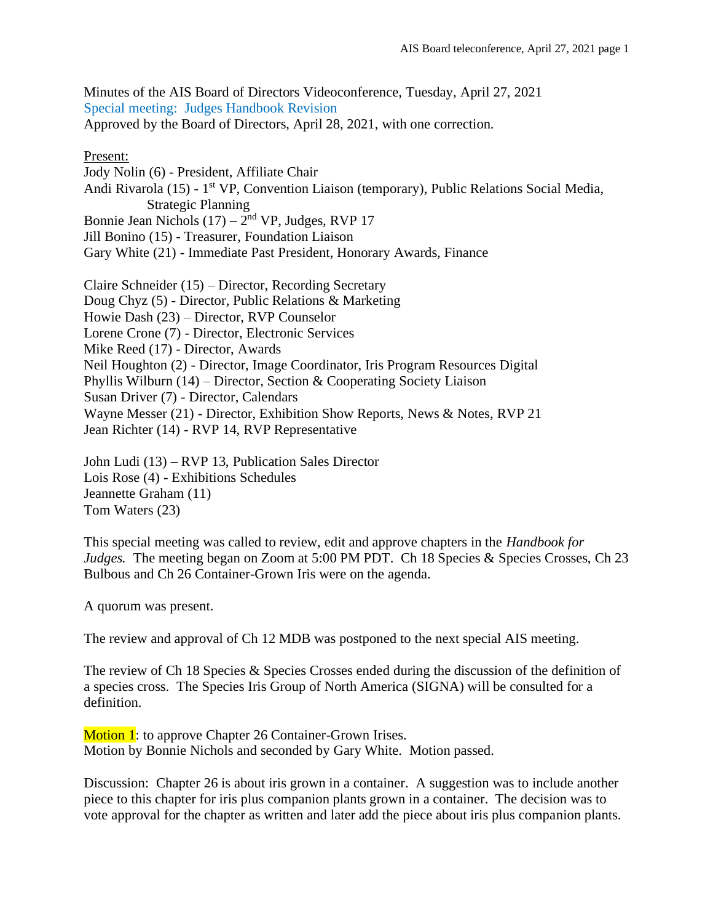Minutes of the AIS Board of Directors Videoconference, Tuesday, April 27, 2021 Special meeting: Judges Handbook Revision Approved by the Board of Directors, April 28, 2021, with one correction.

## Present:

Jody Nolin (6) - President, Affiliate Chair Andi Rivarola (15) - 1<sup>st</sup> VP, Convention Liaison (temporary), Public Relations Social Media, Strategic Planning Bonnie Jean Nichols  $(17) - 2<sup>nd</sup> VP$ , Judges, RVP 17 Jill Bonino (15) - Treasurer, Foundation Liaison Gary White (21) - Immediate Past President, Honorary Awards, Finance

Claire Schneider (15) – Director, Recording Secretary Doug Chyz (5) - Director, Public Relations & Marketing Howie Dash (23) – Director, RVP Counselor Lorene Crone (7) - Director, Electronic Services Mike Reed (17) - Director, Awards Neil Houghton (2) - Director, Image Coordinator, Iris Program Resources Digital Phyllis Wilburn (14) – Director, Section & Cooperating Society Liaison Susan Driver (7) - Director, Calendars Wayne Messer (21) - Director, Exhibition Show Reports, News & Notes, RVP 21 Jean Richter (14) - RVP 14, RVP Representative

John Ludi (13) – RVP 13, Publication Sales Director Lois Rose (4) - Exhibitions Schedules Jeannette Graham (11) Tom Waters (23)

This special meeting was called to review, edit and approve chapters in the *Handbook for Judges.* The meeting began on Zoom at 5:00 PM PDT. Ch 18 Species & Species Crosses, Ch 23 Bulbous and Ch 26 Container-Grown Iris were on the agenda.

A quorum was present.

The review and approval of Ch 12 MDB was postponed to the next special AIS meeting.

The review of Ch 18 Species & Species Crosses ended during the discussion of the definition of a species cross. The Species Iris Group of North America (SIGNA) will be consulted for a definition.

Motion 1: to approve Chapter 26 Container-Grown Irises. Motion by Bonnie Nichols and seconded by Gary White. Motion passed.

Discussion: Chapter 26 is about iris grown in a container. A suggestion was to include another piece to this chapter for iris plus companion plants grown in a container. The decision was to vote approval for the chapter as written and later add the piece about iris plus companion plants.